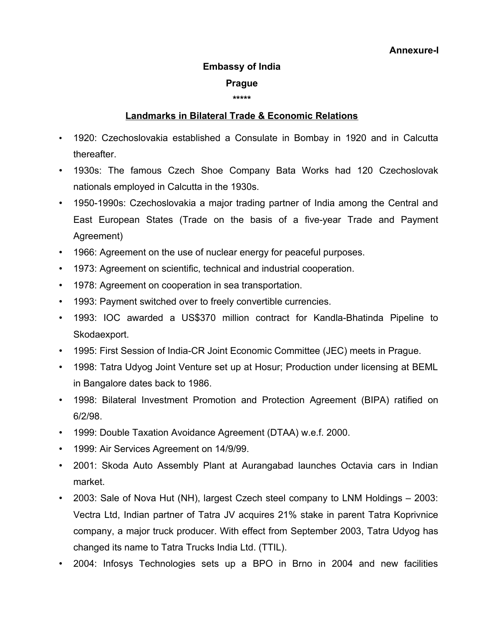## **Embassy of India Prague**

## **\*\*\*\*\***

## **Landmarks in Bilateral Trade & Economic Relations**

- 1920: Czechoslovakia established a Consulate in Bombay in 1920 and in Calcutta thereafter.
- 1930s: The famous Czech Shoe Company Bata Works had 120 Czechoslovak nationals employed in Calcutta in the 1930s.
- 1950-1990s: Czechoslovakia a major trading partner of India among the Central and East European States (Trade on the basis of a five-year Trade and Payment Agreement)
- 1966: Agreement on the use of nuclear energy for peaceful purposes.
- 1973: Agreement on scientific, technical and industrial cooperation.
- 1978: Agreement on cooperation in sea transportation.
- 1993: Payment switched over to freely convertible currencies.
- 1993: IOC awarded a US\$370 million contract for Kandla-Bhatinda Pipeline to Skodaexport.
- 1995: First Session of India-CR Joint Economic Committee (JEC) meets in Prague.
- 1998: Tatra Udyog Joint Venture set up at Hosur; Production under licensing at BEML in Bangalore dates back to 1986.
- 1998: Bilateral Investment Promotion and Protection Agreement (BIPA) ratified on 6/2/98.
- 1999: Double Taxation Avoidance Agreement (DTAA) w.e.f. 2000.
- 1999: Air Services Agreement on 14/9/99.
- 2001: Skoda Auto Assembly Plant at Aurangabad launches Octavia cars in Indian market.
- 2003: Sale of Nova Hut (NH), largest Czech steel company to LNM Holdings 2003: Vectra Ltd, Indian partner of Tatra JV acquires 21% stake in parent Tatra Koprivnice company, a major truck producer. With effect from September 2003, Tatra Udyog has changed its name to Tatra Trucks India Ltd. (TTIL).
- 2004: Infosys Technologies sets up a BPO in Brno in 2004 and new facilities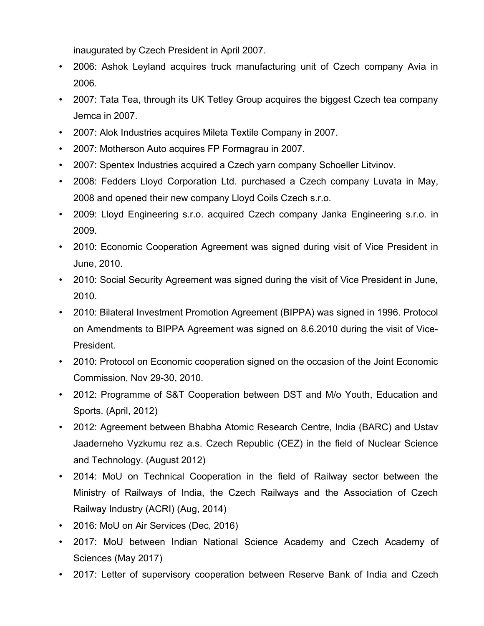inaugurated by Czech President in April 2007.

- 2006: Ashok Leyland acquires truck manufacturing unit of Czech company Avia in 2006.
- 2007: Tata Tea, through its UK Tetley Group acquires the biggest Czech tea company Jemca in 2007.
- 2007: Alok Industries acquires Mileta Textile Company in 2007.
- 2007: Motherson Auto acquires FP Formagrau in 2007.
- 2007: Spentex Industries acquired a Czech yarn company Schoeller Litvinov.
- 2008: Fedders Lloyd Corporation Ltd. purchased a Czech company Luvata in May, 2008 and opened their new company Lloyd Coils Czech s.r.o.
- 2009: Lloyd Engineering s.r.o. acquired Czech company Janka Engineering s.r.o. in 2009.
- 2010: Economic Cooperation Agreement was signed during visit of Vice President in June, 2010.
- 2010: Social Security Agreement was signed during the visit of Vice President in June, 2010.
- 2010: Bilateral Investment Promotion Agreement (BIPPA) was signed in 1996. Protocol on Amendments to BIPPA Agreement was signed on 8.6.2010 during the visit of Vice-President.
- 2010: Protocol on Economic cooperation signed on the occasion of the Joint Economic Commission, Nov 29-30, 2010.
- 2012: Programme of S&T Cooperation between DST and M/o Youth, Education and Sports. (April, 2012)
- 2012: Agreement between Bhabha Atomic Research Centre, India (BARC) and Ustav Jaaderneho Vyzkumu rez a.s. Czech Republic (CEZ) in the field of Nuclear Science and Technology. (August 2012)
- 2014: MoU on Technical Cooperation in the field of Railway sector between the Ministry of Railways of India, the Czech Railways and the Association of Czech Railway Industry (ACRI) (Aug, 2014)
- 2016: MoU on Air Services (Dec, 2016)
- 2017: MoU between Indian National Science Academy and Czech Academy of Sciences (May 2017)
- 2017: Letter of supervisory cooperation between Reserve Bank of India and Czech